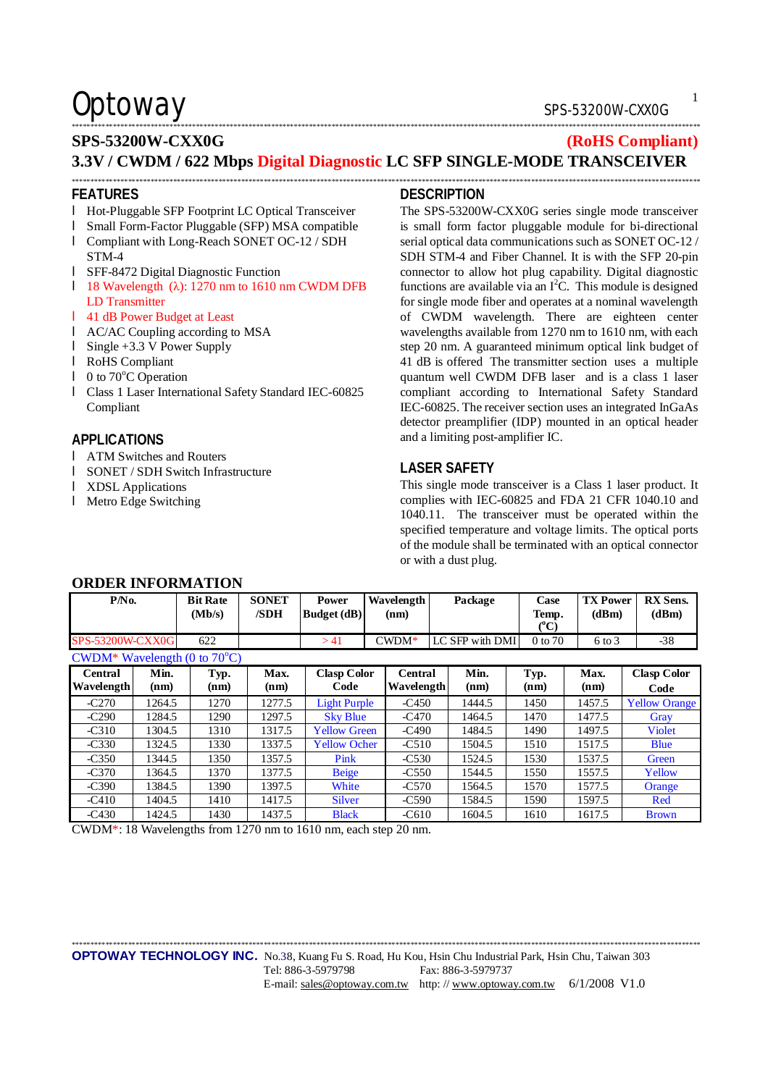### Optoway SPS-53200W-CXX0G

### \*\*\*\*\*\*\*\*\*\*\*\*\*\*\*\*\*\*\*\*\*\*\*\*\*\*\*\*\*\*\*\*\*\*\*\*\*\*\*\*\*\*\*\*\*\*\*\*\*\*\*\*\*\*\*\*\*\*\*\*\*\*\*\*\*\*\*\*\*\*\*\*\*\*\*\*\*\*\*\*\*\*\*\*\*\*\*\*\*\*\*\*\*\*\*\*\*\*\*\*\*\*\*\*\*\*\*\*\*\*\*\*\*\*\*\*\*\*\*\*\*\*\*\*\*\*\*\*\*\*\*\*\*\*\*\*\*\*\*\*\*\*\*\*\*\*\*\*\*\*\*\*\*\*\*\*\*\*\*\*\*\*\*\*\*\*\*

### **SPS-53200W-CXX0G (RoHS Compliant) 3.3V / CWDM / 622 Mbps Digital Diagnostic LC SFP SINGLE-MODE TRANSCEIVER**

\*\*\*\*\*\*\*\*\*\*\*\*\*\*\*\*\*\*\*\*\*\*\*\*\*\*\*\*\*\*\*\*\*\*\*\*\*\*\*\*\*\*\*\*\*\*\*\*\*\*\*\*\*\*\*\*\*\*\*\*\*\*\*\*\*\*\*\*\*\*\*\*\*\*\*\*\*\*\*\*\*\*\*\*\*\*\*\*\*\*\*\*\*\*\*\*\*\*\*\*\*\*\*\*\*\*\*\*\*\*\*\*\*\*\*\*\*\*\*\*\*\*\*\*\*\*\*\*\*\*\*\*\*\*\*\*\*\*\*\*\*\*\*\*\*\*\*\*\*\*\*\*\*\*\*\*\*\*\*\*\*\*\*\*\*\*\*

#### **FEATURES**

- l Hot-Pluggable SFP Footprint LC Optical Transceiver
- l Small Form-Factor Pluggable (SFP) MSA compatible
- l Compliant with Long-Reach SONET OC-12 / SDH STM-4
- l SFF-8472 Digital Diagnostic Function
- l 18 Wavelength (λ): 1270 nm to 1610 nm CWDM DFB LD Transmitter
- l 41 dB Power Budget at Least
- l AC/AC Coupling according to MSA
- l Single +3.3 V Power Supply
- l RoHS Compliant
- $\blacksquare$  0 to 70 $\degree$ C Operation
- l Class 1 Laser International Safety Standard IEC-60825 Compliant

### **APPLICATIONS**

- l ATM Switches and Routers
- l SONET / SDH Switch Infrastructure

**ORDER INFORMATION** 

- l XDSL Applications
- l Metro Edge Switching

### **DESCRIPTION**

The SPS-53200W-CXX0G series single mode transceiver is small form factor pluggable module for bi-directional serial optical data communications such as SONET OC-12 / SDH STM-4 and Fiber Channel. It is with the SFP 20-pin connector to allow hot plug capability. Digital diagnostic functions are available via an  $I<sup>2</sup>C$ . This module is designed for single mode fiber and operates at a nominal wavelength of CWDM wavelength. There are eighteen center wavelengths available from 1270 nm to 1610 nm, with each step 20 nm. A guaranteed minimum optical link budget of 41 dB is offered The transmitter section uses a multiple quantum well CWDM DFB laser and is a class 1 laser compliant according to International Safety Standard IEC-60825. The receiver section uses an integrated InGaAs detector preamplifier (IDP) mounted in an optical header and a limiting post-amplifier IC.

### **LASER SAFETY**

This single mode transceiver is a Class 1 laser product. It complies with IEC-60825 and FDA 21 CFR 1040.10 and 1040.11. The transceiver must be operated within the specified temperature and voltage limits. The optical ports of the module shall be terminated with an optical connector or with a dust plug.

| onden me onde hold                     |              |                           |                      |                             |                       |                 |  |                                |                          |                            |
|----------------------------------------|--------------|---------------------------|----------------------|-----------------------------|-----------------------|-----------------|--|--------------------------------|--------------------------|----------------------------|
| P/N <sub>0</sub>                       |              | <b>Bit Rate</b><br>(Mb/s) | <b>SONET</b><br>/SDH | Power<br><b>Budget</b> (dB) | Wavelength<br>(nm)    | Package         |  | Case<br>Temp.<br>$(^{\circ}C)$ | <b>TX Power</b><br>(dBm) | <b>RX</b> Sens.<br>(dBm)   |
| <b>SPS-53200W-CXX0G</b>                |              | 622                       |                      | >41                         | $C WDM^*$             | LC SFP with DMI |  | 0 to 70                        | $6 \text{ to } 3$        | $-38$                      |
| CWDM* Wavelength (0 to $70^{\circ}$ C) |              |                           |                      |                             |                       |                 |  |                                |                          |                            |
| Central<br>Wavelength                  | Min.<br>(nm) | Typ.<br>(nm)              | Max.<br>(nm)         | <b>Clasp Color</b><br>Code  | Central<br>Wavelength | Min.<br>(nm)    |  | Typ.<br>(nm)                   | Max.<br>(nm)             | <b>Clasp Color</b><br>Code |
| $-C270$                                | 1264.5       | 1270                      | 1277.5               | <b>Light Purple</b>         | $-C450$               | 1444.5          |  | 1450                           | 1457.5                   | <b>Yellow Orange</b>       |
| $-C290$                                | 1284.5       | 1290                      | 1297.5               | <b>Sky Blue</b>             | $-C470$               | 1464.5          |  | 1470                           | 1477.5                   | Gray                       |
| $-C310$                                | 1304.5       | 1310                      | 1317.5               | <b>Yellow Green</b>         | $-C490$               | 1484.5          |  | 1490                           | 1497.5                   | <b>Violet</b>              |
| $-C330$                                | 1324.5       | 1330                      | 1337.5               | <b>Yellow Ocher</b>         | $-C510$               | 1504.5          |  | 1510                           | 1517.5                   | <b>Blue</b>                |
| $-C350$                                | 1344.5       | 1350                      | 1357.5               | Pink                        | $-C530$               | 1524.5          |  | 1530                           | 1537.5                   | Green                      |
| $-C370$                                | 1364.5       | 1370                      | 1377.5               | <b>Beige</b>                | $-C550$               | 1544.5          |  | 1550                           | 1557.5                   | Yellow                     |
| $-C390$                                | 1384.5       | 1390                      | 1397.5               | White                       | $-C570$               | 1564.5          |  | 1570                           | 1577.5                   | Orange                     |
| $-C410$                                | 1404.5       | 1410                      | 1417.5               | <b>Silver</b>               | $-C590$               | 1584.5          |  | 1590                           | 1597.5                   | Red                        |
| $-C430$                                | 1424.5       | 1430                      | 1437.5               | <b>Black</b>                | $-C610$               | 1604.5          |  | 1610                           | 1617.5                   | <b>Brown</b>               |

CWDM\*: 18 Wavelengths from 1270 nm to 1610 nm, each step 20 nm.

\*\*\*\*\*\*\*\*\*\*\*\*\*\*\*\*\*\*\*\*\*\*\*\*\*\*\*\*\*\*\*\*\*\*\*\*\*\*\*\*\*\*\*\*\*\*\*\*\*\*\*\*\*\*\*\*\*\*\*\*\*\*\*\*\*\*\*\*\*\*\*\*\*\*\*\*\*\*\*\*\*\*\*\*\*\*\*\*\*\*\*\*\*\*\*\*\*\*\*\*\*\*\*\*\*\*\*\*\*\*\*\*\*\*\*\*\*\*\*\*\*\*\*\*\*\*\*\*\*\*\*\*\*\*\*\*\*\*\*\*\*\*\*\*\*\*\*\*\*\*\*\*\*\*\*\*\*\*\*\*\*\*\*\*\*\*\*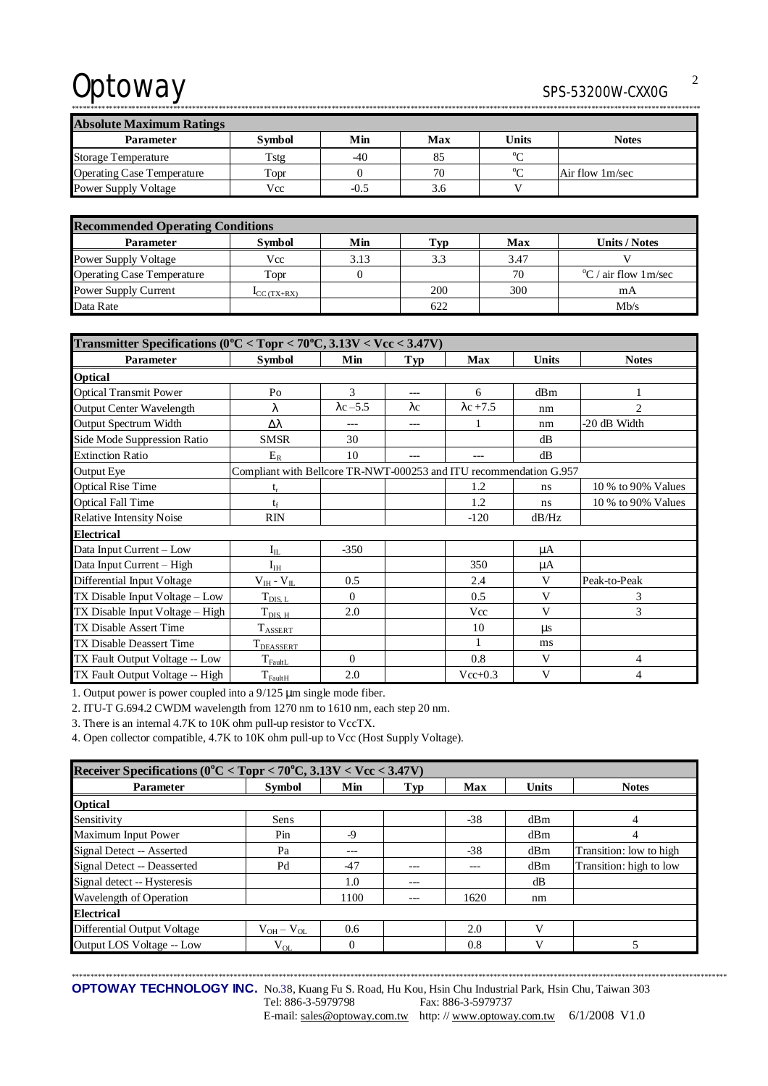# Optoway

### SPS-53200W-CXX0G

| <b>Absolute Maximum Ratings</b>   |               |        |     |                |                 |  |  |
|-----------------------------------|---------------|--------|-----|----------------|-----------------|--|--|
| <b>Parameter</b>                  | <b>Symbol</b> | Min    | Max | <b>Units</b>   | <b>Notes</b>    |  |  |
| <b>Storage Temperature</b>        | Tstg          | $-40$  | 85  | $\sim$         |                 |  |  |
| <b>Operating Case Temperature</b> | Topr          |        | 70  | 0 <sub>0</sub> | Air flow 1m/sec |  |  |
| <b>Power Supply Voltage</b>       | Vcc           | $-0.5$ | 3.6 |                |                 |  |  |

| <b>Recommended Operating Conditions</b> |                           |      |     |      |                                 |  |  |
|-----------------------------------------|---------------------------|------|-----|------|---------------------------------|--|--|
| <b>Parameter</b>                        | <b>Symbol</b>             | Min  | Гур | Max  | Units / Notes                   |  |  |
| Power Supply Voltage                    | Vcc                       | 3.13 | 3.3 | 3.47 |                                 |  |  |
| <b>Operating Case Temperature</b>       | Topr                      |      |     | 70   | $\mathrm{C}$ / air flow 1 m/sec |  |  |
| Power Supply Current                    | $\mathbf{I}_{CC}$ (TX+RX) |      | 200 | 300  | mA                              |  |  |
| Data Rate                               |                           |      | 622 |      | Mb/s                            |  |  |

| Transmitter Specifications ( $0^{\circ}$ C < Topr < $70^{\circ}$ C, 3.13V < Vcc < 3.47V) |                                                                    |                  |             |                  |       |                    |  |  |
|------------------------------------------------------------------------------------------|--------------------------------------------------------------------|------------------|-------------|------------------|-------|--------------------|--|--|
| Parameter                                                                                | <b>Symbol</b>                                                      | Min              | Typ         | Max              | Units | <b>Notes</b>       |  |  |
| <b>Optical</b>                                                                           |                                                                    |                  |             |                  |       |                    |  |  |
| <b>Optical Transmit Power</b>                                                            | Po                                                                 | 3                |             | 6                | dBm   |                    |  |  |
| Output Center Wavelength                                                                 | λ                                                                  | $\lambda$ c -5.5 | $\lambda c$ | $\lambda$ c +7.5 | nm    | $\overline{2}$     |  |  |
| Output Spectrum Width                                                                    | Δλ                                                                 | ---              | $---$       |                  | nm    | -20 dB Width       |  |  |
| Side Mode Suppression Ratio                                                              | <b>SMSR</b>                                                        | 30               |             |                  | dB    |                    |  |  |
| <b>Extinction Ratio</b>                                                                  | $E_R$                                                              | 10               |             |                  | dB    |                    |  |  |
| <b>Output Eye</b>                                                                        | Compliant with Bellcore TR-NWT-000253 and ITU recommendation G.957 |                  |             |                  |       |                    |  |  |
| <b>Optical Rise Time</b>                                                                 | $t_r$                                                              |                  |             | 1.2              | ns    | 10 % to 90% Values |  |  |
| <b>Optical Fall Time</b>                                                                 | $t_f$                                                              |                  |             | 1.2              | ns    | 10 % to 90% Values |  |  |
| <b>Relative Intensity Noise</b>                                                          | <b>RIN</b>                                                         |                  |             | $-120$           | dB/Hz |                    |  |  |
| <b>Electrical</b>                                                                        |                                                                    |                  |             |                  |       |                    |  |  |
| Data Input Current - Low                                                                 | $I_{IL}$                                                           | $-350$           |             |                  | μA    |                    |  |  |
| Data Input Current - High                                                                | $\mathrm{I}_\mathrm{IH}$                                           |                  |             | 350              | μA    |                    |  |  |
| Differential Input Voltage                                                               | $V_{IH} - V_{IL}$                                                  | 0.5              |             | 2.4              | V     | Peak-to-Peak       |  |  |
| TX Disable Input Voltage – Low                                                           | $T_{\rm DIS,~L}$                                                   | $\Omega$         |             | 0.5              | V     | 3                  |  |  |
| TX Disable Input Voltage - High                                                          | $T_{\rm DIS, H}$                                                   | 2.0              |             | Vcc              | V     | 3                  |  |  |
| <b>TX Disable Assert Time</b>                                                            | $T_{\text{ASSERT}}$                                                |                  |             | 10               | us    |                    |  |  |
| TX Disable Deassert Time                                                                 | T <sub>DEASSERT</sub>                                              |                  |             | 1                | ms    |                    |  |  |
| TX Fault Output Voltage -- Low                                                           | $T_{\text{FaultL}}$                                                | $\Omega$         |             | 0.8              | V     | 4                  |  |  |
| TX Fault Output Voltage -- High                                                          | $T_{\rm FaultH}$                                                   | 2.0              |             | $Vec{+}0.3$      | V     | $\overline{4}$     |  |  |

1. Output power is power coupled into a 9/125 µm single mode fiber.

2. ITU-T G.694.2 CWDM wavelength from 1270 nm to 1610 nm, each step 20 nm.

3. There is an internal 4.7K to 10K ohm pull-up resistor to VccTX.

4. Open collector compatible, 4.7K to 10K ohm pull-up to Vcc (Host Supply Voltage).

| Receiver Specifications ( $0^{\circ}$ C < Topr < 70 $^{\circ}$ C, 3.13V < Vcc < 3.47V) |                 |          |       |       |              |                         |  |  |
|----------------------------------------------------------------------------------------|-----------------|----------|-------|-------|--------------|-------------------------|--|--|
| <b>Parameter</b>                                                                       | <b>Symbol</b>   | Min      | Typ   | Max   | <b>Units</b> | <b>Notes</b>            |  |  |
| <b>Optical</b>                                                                         |                 |          |       |       |              |                         |  |  |
| Sensitivity                                                                            | Sens            |          |       | $-38$ | dBm          | 4                       |  |  |
| Maximum Input Power                                                                    | Pin             | $-9$     |       |       | dBm          | 4                       |  |  |
| Signal Detect -- Asserted                                                              | Pa              | ---      |       | $-38$ | dBm          | Transition: low to high |  |  |
| Signal Detect -- Deasserted                                                            | Pd              | $-47$    | ---   | ---   | dBm          | Transition: high to low |  |  |
| Signal detect -- Hysteresis                                                            |                 | 1.0      | $---$ |       | dB           |                         |  |  |
| Wavelength of Operation                                                                |                 | 1100     | $---$ | 1620  | nm           |                         |  |  |
| <b>Electrical</b>                                                                      |                 |          |       |       |              |                         |  |  |
| <b>Differential Output Voltage</b>                                                     | $V_{OH}-V_{OL}$ | 0.6      |       | 2.0   | V            |                         |  |  |
| Output LOS Voltage -- Low                                                              | $\rm V_{OL}$    | $\theta$ |       | 0.8   | V            | 5                       |  |  |

OPTOWAY TECHNOLOGY INC. No.38, Kuang Fu S. Road, Hu Kou, Hsin Chu Industrial Park, Hsin Chu, Taiwan 303 Tel: 886-3-5979798 Fax: 886-3-5979737

E-mail: sales@optoway.com.tw http://www.optoway.com.tw 6/1/2008 V1.0

 $\overline{2}$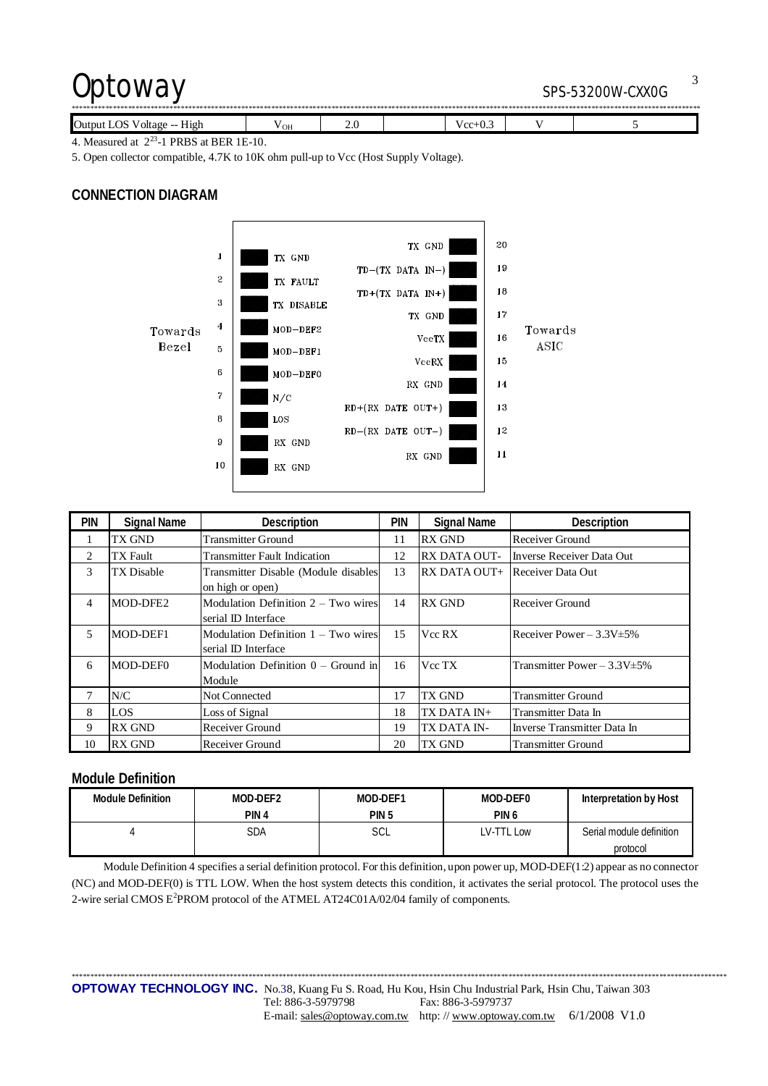## Optoway SPS-53200W-CXX0G

| Output<br>LOS<br>$\mathcal{C}$ voltage -- $\mathcal{C}$<br>H12h | ' OH | ن ک |  | w<br>ن رس ا |  |  |  |
|-----------------------------------------------------------------|------|-----|--|-------------|--|--|--|

4. Measured at  $2^{23}$ -1 PRBS at BER 1E-10.

5. Open collector compatible, 4.7K to 10K ohm pull-up to Vcc (Host Supply Voltage).

### **CONNECTION DIAGRAM**



| <b>PIN</b> | <b>Signal Name</b> | Description                           | pin | <b>Signal Name</b>  | Description                       |
|------------|--------------------|---------------------------------------|-----|---------------------|-----------------------------------|
|            | TX GND             | <b>Transmitter Ground</b>             | 11  | <b>RX GND</b>       | Receiver Ground                   |
| 2          | TX Fault           | <b>Transmitter Fault Indication</b>   | 12  | <b>RX DATA OUT-</b> | Inverse Receiver Data Out         |
| 3          | TX Disable         | Transmitter Disable (Module disables  | 13  | RX DATA OUT+        | Receiver Data Out                 |
|            |                    | on high or open)                      |     |                     |                                   |
| 4          | MOD-DFE2           | Modulation Definition $2 - Two wires$ | 14  | <b>RX GND</b>       | Receiver Ground                   |
|            |                    | serial ID Interface                   |     |                     |                                   |
| 5          | MOD-DEF1           | Modulation Definition $1 - Two wires$ | 15  | Vcc RX              | Receiver Power $-3.3V \pm 5\%$    |
|            |                    | serial ID Interface                   |     |                     |                                   |
| 6          | MOD-DEF0           | Modulation Definition $0 -$ Ground in | 16  | Vcc TX              | Transmitter Power $-3.3V \pm 5\%$ |
|            |                    | Module                                |     |                     |                                   |
|            | N/C                | Not Connected                         | 17  | TX GND              | <b>Transmitter Ground</b>         |
| 8          | <b>LOS</b>         | Loss of Signal                        | 18  | TX DATA IN+         | Transmitter Data In               |
| 9          | <b>RX GND</b>      | Receiver Ground                       | 19  | TX DATA IN-         | Inverse Transmitter Data In       |
| 10         | <b>RX GND</b>      | Receiver Ground                       | 20  | TX GND              | <b>Transmitter Ground</b>         |

### **Module Definition**

| Module Definition | MOD-DEF2         | MOD-DEF1         | MOD-DEF0         | Interpretation by Host   |
|-------------------|------------------|------------------|------------------|--------------------------|
|                   | PIN <sub>4</sub> | PIN <sub>5</sub> | PIN <sub>6</sub> |                          |
|                   | SDA              | SCL              | LV-TTL Low       | Serial module definition |
|                   |                  |                  |                  | protocol                 |

Module Definition 4 specifies a serial definition protocol. For this definition, upon power up, MOD-DEF(1:2) appear as no connector (NC) and MOD-DEF(0) is TTL LOW. When the host system detects this condition, it activates the serial protocol. The protocol uses the 2-wire serial CMOS E<sup>2</sup>PROM protocol of the ATMEL AT24C01A/02/04 family of components.

\*\*\*\*\*\*\*\*\*\*\*\*\*\*\*\*\*\*\*\*\*\*\*\*\*\*\*\*\*\*\*\*\*\*\*\*\*\*\*\*\*\*\*\*\*\*\*\*\*\*\*\*\*\*\*\*\*\*\*\*\*\*\*\*\*\*\*\*\*\*\*\*\*\*\*\*\*\*\*\*\*\*\*\*\*\*\*\*\*\*\*\*\*\*\*\*\*\*\*\*\*\*\*\*\*\*\*\*\*\*\*\*\*\*\*\*\*\*\*\*\*\*\*\*\*\*\*\*\*\*\*\*\*\*\*\*\*\*\*\*\*\*\*\*\*\*\*\*\*\*\*\*\*\*\*\*\*\*\*\*\*\*\*\*\*\*\*\*\*\*\*\*\*\* **OPTOWAY TECHNOLOGY INC.** No.38, Kuang Fu S. Road, Hu Kou, Hsin Chu Industrial Park, Hsin Chu, Taiwan 303 Tel: 886-3-5979798 Fax: 886-3-5979737

E-mail: [sales@optoway.com.tw](mailto:sales@optoway.com.tw) http: // [www.optoway.com.tw](http://www.optoway.com.tw) 6/1/2008 V1.0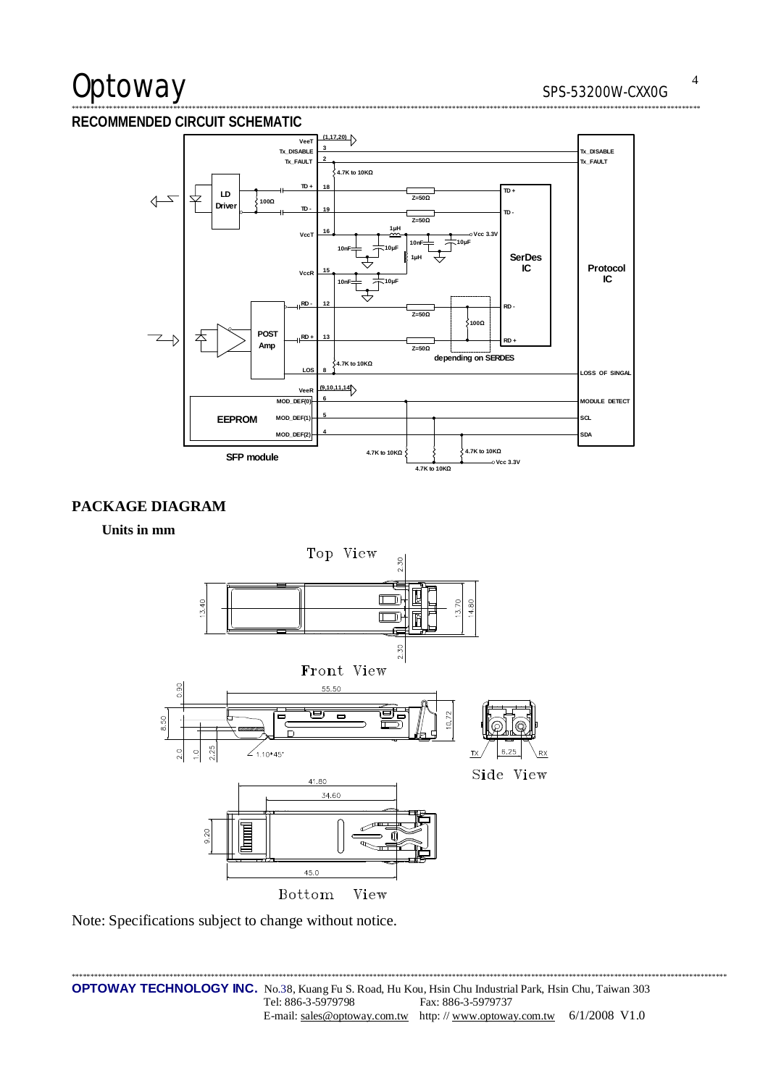# Optoway

#### RECOMMENDED CIRCUIT SCHEMATIC



### PACKAGE DIAGRAM

Units in mm



Note: Specifications subject to change without notice.

\*\*\*\*\*\*\*\*\*\*\*\*\*\*\*\*\*\*\*\*\*\*\*\*\* OPTOWAY TECHNOLOGY INC. No.38, Kuang Fu S. Road, Hu Kou, Hsin Chu Industrial Park, Hsin Chu, Taiwan 303 Tel: 886-3-5979798 Fax: 886-3-5979737 E-mail: sales@optoway.com.tw http://www.optoway.com.tw 6/1/2008 V1.0

 $\overline{4}$ 

\*\*\*\*\*\*\*